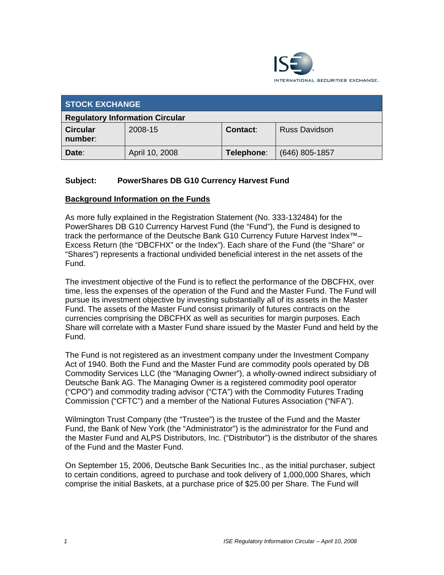

| <b>STOCK EXCHANGE</b>                  |                |                 |                      |
|----------------------------------------|----------------|-----------------|----------------------|
| <b>Regulatory Information Circular</b> |                |                 |                      |
| <b>Circular</b><br>number:             | 2008-15        | <b>Contact:</b> | <b>Russ Davidson</b> |
| Date:                                  | April 10, 2008 | Telephone:      | (646) 805-1857       |

## **Subject: PowerShares DB G10 Currency Harvest Fund**

## **Background Information on the Funds**

As more fully explained in the Registration Statement (No. 333-132484) for the PowerShares DB G10 Currency Harvest Fund (the "Fund"), the Fund is designed to track the performance of the Deutsche Bank G10 Currency Future Harvest Index™– Excess Return (the "DBCFHX" or the Index"). Each share of the Fund (the "Share" or "Shares") represents a fractional undivided beneficial interest in the net assets of the Fund.

The investment objective of the Fund is to reflect the performance of the DBCFHX, over time, less the expenses of the operation of the Fund and the Master Fund. The Fund will pursue its investment objective by investing substantially all of its assets in the Master Fund. The assets of the Master Fund consist primarily of futures contracts on the currencies comprising the DBCFHX as well as securities for margin purposes. Each Share will correlate with a Master Fund share issued by the Master Fund and held by the Fund.

The Fund is not registered as an investment company under the Investment Company Act of 1940. Both the Fund and the Master Fund are commodity pools operated by DB Commodity Services LLC (the "Managing Owner"), a wholly-owned indirect subsidiary of Deutsche Bank AG. The Managing Owner is a registered commodity pool operator ("CPO") and commodity trading advisor ("CTA") with the Commodity Futures Trading Commission ("CFTC") and a member of the National Futures Association ("NFA").

Wilmington Trust Company (the "Trustee") is the trustee of the Fund and the Master Fund, the Bank of New York (the "Administrator") is the administrator for the Fund and the Master Fund and ALPS Distributors, Inc. ("Distributor") is the distributor of the shares of the Fund and the Master Fund.

On September 15, 2006, Deutsche Bank Securities Inc., as the initial purchaser, subject to certain conditions, agreed to purchase and took delivery of 1,000,000 Shares, which comprise the initial Baskets, at a purchase price of \$25.00 per Share. The Fund will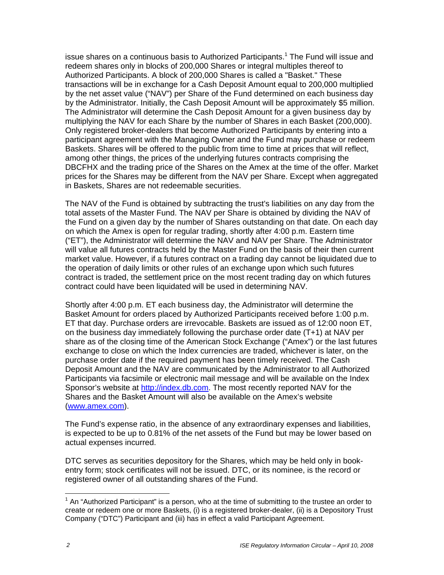issue shares on a continuous basis to Authorized Participants.<sup>1</sup> The Fund will issue and redeem shares only in blocks of 200,000 Shares or integral multiples thereof to Authorized Participants. A block of 200,000 Shares is called a "Basket." These transactions will be in exchange for a Cash Deposit Amount equal to 200,000 multiplied by the net asset value ("NAV") per Share of the Fund determined on each business day by the Administrator. Initially, the Cash Deposit Amount will be approximately \$5 million. The Administrator will determine the Cash Deposit Amount for a given business day by multiplying the NAV for each Share by the number of Shares in each Basket (200,000). Only registered broker-dealers that become Authorized Participants by entering into a participant agreement with the Managing Owner and the Fund may purchase or redeem Baskets. Shares will be offered to the public from time to time at prices that will reflect, among other things, the prices of the underlying futures contracts comprising the DBCFHX and the trading price of the Shares on the Amex at the time of the offer. Market prices for the Shares may be different from the NAV per Share. Except when aggregated in Baskets, Shares are not redeemable securities.

The NAV of the Fund is obtained by subtracting the trust's liabilities on any day from the total assets of the Master Fund. The NAV per Share is obtained by dividing the NAV of the Fund on a given day by the number of Shares outstanding on that date. On each day on which the Amex is open for regular trading, shortly after 4:00 p.m. Eastern time ("ET"), the Administrator will determine the NAV and NAV per Share. The Administrator will value all futures contracts held by the Master Fund on the basis of their then current market value. However, if a futures contract on a trading day cannot be liquidated due to the operation of daily limits or other rules of an exchange upon which such futures contract is traded, the settlement price on the most recent trading day on which futures contract could have been liquidated will be used in determining NAV.

Shortly after 4:00 p.m. ET each business day, the Administrator will determine the Basket Amount for orders placed by Authorized Participants received before 1:00 p.m. ET that day. Purchase orders are irrevocable. Baskets are issued as of 12:00 noon ET, on the business day immediately following the purchase order date (T+1) at NAV per share as of the closing time of the American Stock Exchange ("Amex") or the last futures exchange to close on which the Index currencies are traded, whichever is later, on the purchase order date if the required payment has been timely received. The Cash Deposit Amount and the NAV are communicated by the Administrator to all Authorized Participants via facsimile or electronic mail message and will be available on the Index Sponsor's website at http://index.db.com. The most recently reported NAV for the Shares and the Basket Amount will also be available on the Amex's website (www.amex.com).

The Fund's expense ratio, in the absence of any extraordinary expenses and liabilities, is expected to be up to 0.81% of the net assets of the Fund but may be lower based on actual expenses incurred.

DTC serves as securities depository for the Shares, which may be held only in bookentry form; stock certificates will not be issued. DTC, or its nominee, is the record or registered owner of all outstanding shares of the Fund.

 $\overline{a}$  $1$  An "Authorized Participant" is a person, who at the time of submitting to the trustee an order to create or redeem one or more Baskets, (i) is a registered broker-dealer, (ii) is a Depository Trust Company ("DTC") Participant and (iii) has in effect a valid Participant Agreement.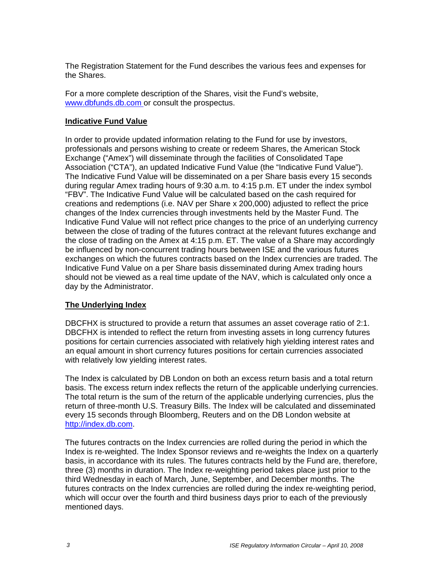The Registration Statement for the Fund describes the various fees and expenses for the Shares.

For a more complete description of the Shares, visit the Fund's website, www.dbfunds.db.com or consult the prospectus.

## **Indicative Fund Value**

In order to provide updated information relating to the Fund for use by investors, professionals and persons wishing to create or redeem Shares, the American Stock Exchange ("Amex") will disseminate through the facilities of Consolidated Tape Association ("CTA"), an updated Indicative Fund Value (the "Indicative Fund Value"). The Indicative Fund Value will be disseminated on a per Share basis every 15 seconds during regular Amex trading hours of 9:30 a.m. to 4:15 p.m. ET under the index symbol "FBV". The Indicative Fund Value will be calculated based on the cash required for creations and redemptions (i.e. NAV per Share x 200,000) adjusted to reflect the price changes of the Index currencies through investments held by the Master Fund. The Indicative Fund Value will not reflect price changes to the price of an underlying currency between the close of trading of the futures contract at the relevant futures exchange and the close of trading on the Amex at 4:15 p.m. ET. The value of a Share may accordingly be influenced by non-concurrent trading hours between ISE and the various futures exchanges on which the futures contracts based on the Index currencies are traded. The Indicative Fund Value on a per Share basis disseminated during Amex trading hours should not be viewed as a real time update of the NAV, which is calculated only once a day by the Administrator.

### **The Underlying Index**

DBCFHX is structured to provide a return that assumes an asset coverage ratio of 2:1. DBCFHX is intended to reflect the return from investing assets in long currency futures positions for certain currencies associated with relatively high yielding interest rates and an equal amount in short currency futures positions for certain currencies associated with relatively low yielding interest rates.

The Index is calculated by DB London on both an excess return basis and a total return basis. The excess return index reflects the return of the applicable underlying currencies. The total return is the sum of the return of the applicable underlying currencies, plus the return of three-month U.S. Treasury Bills. The Index will be calculated and disseminated every 15 seconds through Bloomberg, Reuters and on the DB London website at http://index.db.com.

The futures contracts on the Index currencies are rolled during the period in which the Index is re-weighted. The Index Sponsor reviews and re-weights the Index on a quarterly basis, in accordance with its rules. The futures contracts held by the Fund are, therefore, three (3) months in duration. The Index re-weighting period takes place just prior to the third Wednesday in each of March, June, September, and December months. The futures contracts on the Index currencies are rolled during the index re-weighting period, which will occur over the fourth and third business days prior to each of the previously mentioned days.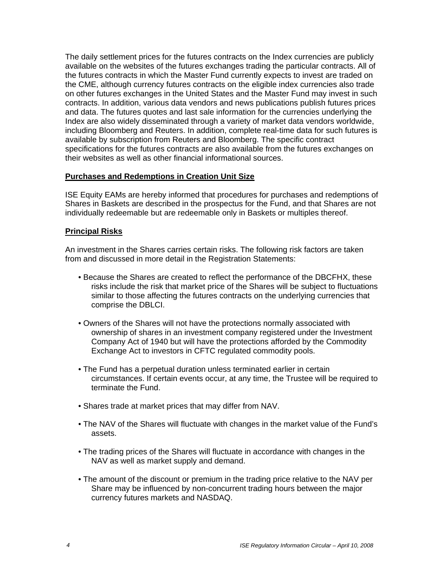The daily settlement prices for the futures contracts on the Index currencies are publicly available on the websites of the futures exchanges trading the particular contracts. All of the futures contracts in which the Master Fund currently expects to invest are traded on the CME, although currency futures contracts on the eligible index currencies also trade on other futures exchanges in the United States and the Master Fund may invest in such contracts. In addition, various data vendors and news publications publish futures prices and data. The futures quotes and last sale information for the currencies underlying the Index are also widely disseminated through a variety of market data vendors worldwide, including Bloomberg and Reuters. In addition, complete real-time data for such futures is available by subscription from Reuters and Bloomberg. The specific contract specifications for the futures contracts are also available from the futures exchanges on their websites as well as other financial informational sources.

## **Purchases and Redemptions in Creation Unit Size**

ISE Equity EAMs are hereby informed that procedures for purchases and redemptions of Shares in Baskets are described in the prospectus for the Fund, and that Shares are not individually redeemable but are redeemable only in Baskets or multiples thereof.

## **Principal Risks**

An investment in the Shares carries certain risks. The following risk factors are taken from and discussed in more detail in the Registration Statements:

- Because the Shares are created to reflect the performance of the DBCFHX, these risks include the risk that market price of the Shares will be subject to fluctuations similar to those affecting the futures contracts on the underlying currencies that comprise the DBLCI.
- Owners of the Shares will not have the protections normally associated with ownership of shares in an investment company registered under the Investment Company Act of 1940 but will have the protections afforded by the Commodity Exchange Act to investors in CFTC regulated commodity pools.
- The Fund has a perpetual duration unless terminated earlier in certain circumstances. If certain events occur, at any time, the Trustee will be required to terminate the Fund.
- Shares trade at market prices that may differ from NAV.
- The NAV of the Shares will fluctuate with changes in the market value of the Fund's assets.
- The trading prices of the Shares will fluctuate in accordance with changes in the NAV as well as market supply and demand.
- The amount of the discount or premium in the trading price relative to the NAV per Share may be influenced by non-concurrent trading hours between the major currency futures markets and NASDAQ.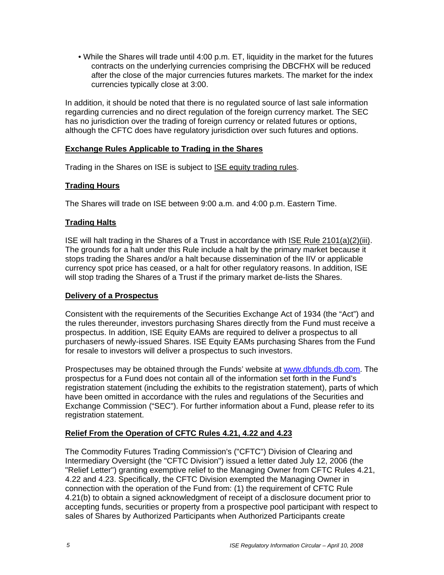• While the Shares will trade until 4:00 p.m. ET, liquidity in the market for the futures contracts on the underlying currencies comprising the DBCFHX will be reduced after the close of the major currencies futures markets. The market for the index currencies typically close at 3:00.

In addition, it should be noted that there is no regulated source of last sale information regarding currencies and no direct regulation of the foreign currency market. The SEC has no jurisdiction over the trading of foreign currency or related futures or options, although the CFTC does have regulatory jurisdiction over such futures and options.

## **Exchange Rules Applicable to Trading in the Shares**

Trading in the Shares on ISE is subject to ISE equity trading rules.

# **Trading Hours**

The Shares will trade on ISE between 9:00 a.m. and 4:00 p.m. Eastern Time.

# **Trading Halts**

ISE will halt trading in the Shares of a Trust in accordance with ISE Rule 2101(a)(2)(iii). The grounds for a halt under this Rule include a halt by the primary market because it stops trading the Shares and/or a halt because dissemination of the IIV or applicable currency spot price has ceased, or a halt for other regulatory reasons. In addition, ISE will stop trading the Shares of a Trust if the primary market de-lists the Shares.

## **Delivery of a Prospectus**

Consistent with the requirements of the Securities Exchange Act of 1934 (the "Act") and the rules thereunder, investors purchasing Shares directly from the Fund must receive a prospectus. In addition, ISE Equity EAMs are required to deliver a prospectus to all purchasers of newly-issued Shares. ISE Equity EAMs purchasing Shares from the Fund for resale to investors will deliver a prospectus to such investors.

Prospectuses may be obtained through the Funds' website at www.dbfunds.db.com. The prospectus for a Fund does not contain all of the information set forth in the Fund's registration statement (including the exhibits to the registration statement), parts of which have been omitted in accordance with the rules and regulations of the Securities and Exchange Commission ("SEC"). For further information about a Fund, please refer to its registration statement.

# **Relief From the Operation of CFTC Rules 4.21, 4.22 and 4.23**

The Commodity Futures Trading Commission's ("CFTC") Division of Clearing and Intermediary Oversight (the "CFTC Division") issued a letter dated July 12, 2006 (the "Relief Letter") granting exemptive relief to the Managing Owner from CFTC Rules 4.21, 4.22 and 4.23. Specifically, the CFTC Division exempted the Managing Owner in connection with the operation of the Fund from: (1) the requirement of CFTC Rule 4.21(b) to obtain a signed acknowledgment of receipt of a disclosure document prior to accepting funds, securities or property from a prospective pool participant with respect to sales of Shares by Authorized Participants when Authorized Participants create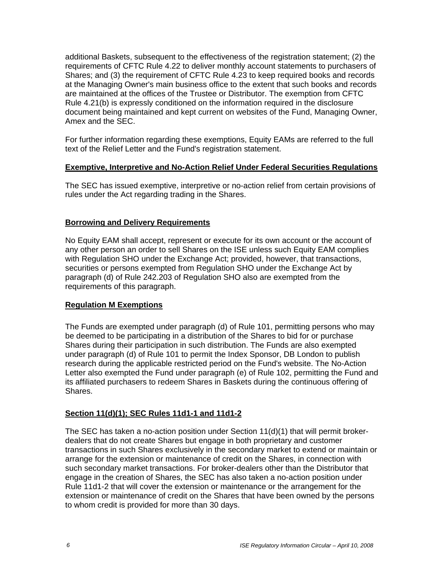additional Baskets, subsequent to the effectiveness of the registration statement; (2) the requirements of CFTC Rule 4.22 to deliver monthly account statements to purchasers of Shares; and (3) the requirement of CFTC Rule 4.23 to keep required books and records at the Managing Owner's main business office to the extent that such books and records are maintained at the offices of the Trustee or Distributor. The exemption from CFTC Rule 4.21(b) is expressly conditioned on the information required in the disclosure document being maintained and kept current on websites of the Fund, Managing Owner, Amex and the SEC.

For further information regarding these exemptions, Equity EAMs are referred to the full text of the Relief Letter and the Fund's registration statement.

## **Exemptive, Interpretive and No-Action Relief Under Federal Securities Regulations**

The SEC has issued exemptive, interpretive or no-action relief from certain provisions of rules under the Act regarding trading in the Shares.

## **Borrowing and Delivery Requirements**

No Equity EAM shall accept, represent or execute for its own account or the account of any other person an order to sell Shares on the ISE unless such Equity EAM complies with Regulation SHO under the Exchange Act; provided, however, that transactions, securities or persons exempted from Regulation SHO under the Exchange Act by paragraph (d) of Rule 242.203 of Regulation SHO also are exempted from the requirements of this paragraph.

## **Regulation M Exemptions**

The Funds are exempted under paragraph (d) of Rule 101, permitting persons who may be deemed to be participating in a distribution of the Shares to bid for or purchase Shares during their participation in such distribution. The Funds are also exempted under paragraph (d) of Rule 101 to permit the Index Sponsor, DB London to publish research during the applicable restricted period on the Fund's website. The No-Action Letter also exempted the Fund under paragraph (e) of Rule 102, permitting the Fund and its affiliated purchasers to redeem Shares in Baskets during the continuous offering of Shares.

## **Section 11(d)(1); SEC Rules 11d1-1 and 11d1-2**

The SEC has taken a no-action position under Section  $11(d)(1)$  that will permit brokerdealers that do not create Shares but engage in both proprietary and customer transactions in such Shares exclusively in the secondary market to extend or maintain or arrange for the extension or maintenance of credit on the Shares, in connection with such secondary market transactions. For broker-dealers other than the Distributor that engage in the creation of Shares, the SEC has also taken a no-action position under Rule 11d1-2 that will cover the extension or maintenance or the arrangement for the extension or maintenance of credit on the Shares that have been owned by the persons to whom credit is provided for more than 30 days.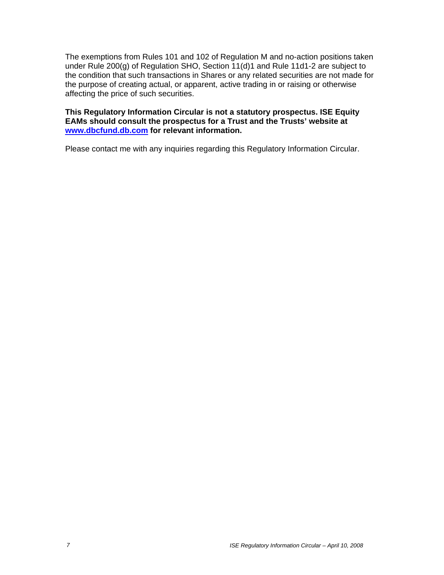The exemptions from Rules 101 and 102 of Regulation M and no-action positions taken under Rule 200(g) of Regulation SHO, Section 11(d)1 and Rule 11d1-2 are subject to the condition that such transactions in Shares or any related securities are not made for the purpose of creating actual, or apparent, active trading in or raising or otherwise affecting the price of such securities.

## **This Regulatory Information Circular is not a statutory prospectus. ISE Equity EAMs should consult the prospectus for a Trust and the Trusts' website at www.dbcfund.db.com for relevant information.**

Please contact me with any inquiries regarding this Regulatory Information Circular.